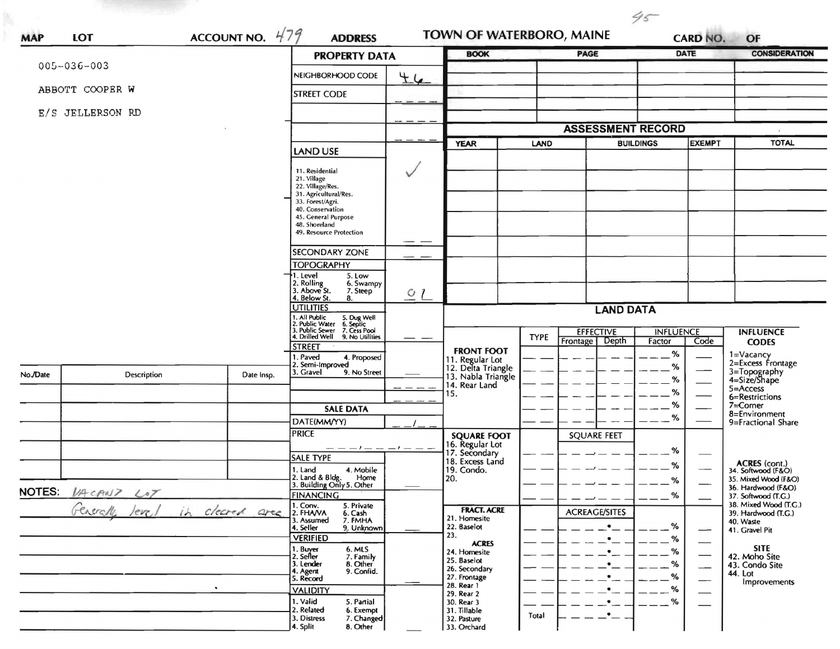| <b>MAP</b>    | LOT                | ACCOUNT NO. $479$                         | <b>ADDRESS</b>                                                                                  |                          |                                                     | TOWN OF WATERBORO, MAINE |                                       |                            | $45 -$<br>OF<br><b>CARD NO.</b> |                                              |  |
|---------------|--------------------|-------------------------------------------|-------------------------------------------------------------------------------------------------|--------------------------|-----------------------------------------------------|--------------------------|---------------------------------------|----------------------------|---------------------------------|----------------------------------------------|--|
|               |                    |                                           | <b>PROPERTY DATA</b>                                                                            |                          | <b>BOOK</b>                                         |                          | PAGE                                  |                            | DATE                            | <b>CONSIDERATION</b>                         |  |
|               | $005 - 036 - 003$  |                                           | NEIGHBORHOOD CODE                                                                               | 44                       |                                                     |                          |                                       |                            |                                 |                                              |  |
|               | ABBOTT COOPER W    |                                           | <b>STREET CODE</b>                                                                              |                          |                                                     |                          |                                       |                            |                                 |                                              |  |
|               | E/S JELLERSON RD   |                                           |                                                                                                 |                          |                                                     |                          |                                       |                            |                                 |                                              |  |
|               |                    |                                           |                                                                                                 |                          | <b>ASSESSMENT RECORD</b>                            |                          |                                       |                            |                                 |                                              |  |
|               |                    |                                           | <b>LAND USE</b>                                                                                 |                          | <b>YEAR</b>                                         | LAND                     | <b>BUILDINGS</b>                      |                            | <b>EXEMPT</b>                   | <b>TOTAL</b>                                 |  |
|               |                    |                                           |                                                                                                 |                          |                                                     |                          |                                       |                            |                                 |                                              |  |
|               |                    |                                           | 11. Residential<br>21. Village                                                                  |                          |                                                     |                          |                                       |                            |                                 |                                              |  |
|               |                    |                                           | 22. Village/Res.<br>31. Agricultural/Res.                                                       |                          |                                                     |                          |                                       |                            |                                 |                                              |  |
|               |                    |                                           | 33. Forest/Agri.<br>40. Conservation                                                            |                          |                                                     |                          |                                       |                            |                                 |                                              |  |
|               |                    |                                           | 45. General Purpose<br>48. Shoreland<br>49. Resource Protection                                 |                          |                                                     |                          |                                       |                            |                                 |                                              |  |
|               |                    |                                           |                                                                                                 |                          |                                                     |                          |                                       |                            |                                 |                                              |  |
|               |                    |                                           | <b>SECONDARY ZONE</b>                                                                           |                          |                                                     |                          |                                       |                            |                                 |                                              |  |
|               |                    |                                           | <b>TOPOGRAPHY</b><br>1. Level<br>5. Low                                                         |                          |                                                     |                          |                                       |                            |                                 |                                              |  |
|               |                    |                                           | 2. Rolling<br>3. Above St.<br>6. Swampy<br>7. Steep                                             | Q <sub>l</sub>           |                                                     |                          |                                       |                            |                                 |                                              |  |
|               |                    |                                           | 4. Below St.<br>8.<br><b>UTILITIES</b>                                                          |                          | <b>LAND DATA</b>                                    |                          |                                       |                            |                                 |                                              |  |
|               |                    |                                           | 1. All Public<br>2. Public Water<br>3. Public Sewer<br>5. Dug Well<br>6. Septic<br>7. Cess Pool |                          |                                                     |                          |                                       |                            |                                 |                                              |  |
|               |                    |                                           | 4. Drilled Well<br>9. No Utilities                                                              |                          |                                                     | <b>TYPE</b>              | <b>EFFECTIVE</b><br>Depth<br>Frontage | <b>INFLUENCE</b><br>Factor | Code                            | <b>INFLUENCE</b><br><b>CODES</b>             |  |
|               |                    |                                           | <b>STREET</b><br>1. Paved<br>4. Proposed                                                        |                          | <b>FRONT FOOT</b><br>11. Regular Lot                |                          |                                       | %                          |                                 | 1=Vacancy<br>2=Excess Frontage               |  |
| No./Date      | Description        | Date Insp.                                | 2. Semi-Improved<br>3. Gravel<br>9. No Street                                                   |                          | 12. Delta Triangle<br>13. Nabla Triangle            |                          |                                       | %                          |                                 | 3=Topography<br>4=Size/Shape                 |  |
|               |                    |                                           |                                                                                                 |                          | 14. Rear Land<br>15.                                |                          |                                       | %<br>%                     |                                 | $5 = Access$                                 |  |
|               |                    |                                           | <b>SALE DATA</b>                                                                                |                          |                                                     |                          |                                       | %                          |                                 | 6=Restrictions<br>$7 =$ Corner               |  |
|               |                    |                                           | DATE(MM/YY)                                                                                     |                          |                                                     |                          |                                       | $\%$                       |                                 | 8=Environment<br>9=Fractional Share          |  |
|               |                    |                                           | <b>PRICE</b>                                                                                    |                          | <b>SQUARE FOOT</b>                                  |                          | <b>SQUARE FEET</b>                    |                            |                                 |                                              |  |
| <b>NOTES:</b> |                    |                                           | — — — / — — — / — —<br><b>SALE TYPE</b>                                                         |                          | 16. Regular Lot<br>17. Secondary<br>18. Excess Land |                          |                                       | %                          |                                 |                                              |  |
|               |                    |                                           | 1. Land<br>4. Mobile<br>2. Land & Bldg.                                                         |                          | 19. Condo.                                          |                          |                                       | $\%$                       |                                 | <b>ACRES</b> (cont.)<br>34. Softwood (F&O)   |  |
|               | VACANT LOT         |                                           | Home<br>3. Building Only 5. Other                                                               | $\overline{\phantom{a}}$ | l 20.                                               |                          |                                       | O/L                        |                                 | 35. Mixed Wood (F&O)<br>36. Hardwood (F&O)   |  |
|               |                    |                                           | <b>FINANCING</b><br>5. Private                                                                  |                          | <b>FRACT. ACRE</b>                                  |                          |                                       | %                          |                                 | 37. Softwood (T.G.)<br>38. Mixed Wood (T.G.) |  |
|               | Generalle<br>leve, | cleared are 1. Conv.<br>3. Assumed<br>(h) | 6. Cash<br>7. FMHA                                                                              |                          | 21. Homesite<br>22. Baselot                         |                          | <b>ACREAGE/SITES</b><br>$\bullet$     | ℅                          |                                 | 39. Hardwood (T.G.)<br>40. Waste             |  |
|               |                    |                                           | 9. Unknown<br>4. Seller<br><b>VERIFIED</b>                                                      |                          | 23.                                                 |                          |                                       | %                          |                                 | 41. Gravel Pit                               |  |
|               |                    |                                           | 1. Buyer<br>6. MLS<br>7. Family<br>2. Seller                                                    |                          | <b>ACRES</b><br>24. Homesite                        |                          |                                       | %                          |                                 | <b>SITE</b><br>42. Moho Site                 |  |
|               |                    |                                           | 8. Other<br>3. Lender<br>4. Agent<br>9. Confid.                                                 |                          | 25. Baselot<br>26. Secondary                        |                          |                                       | %                          |                                 | 43. Condo Site<br>44. Lot                    |  |
|               |                    |                                           | 5. Record<br><b>VALIDITY</b>                                                                    |                          | 27. Frontage<br>28. Rear 1                          |                          |                                       | %<br>%                     |                                 | Improvements                                 |  |
|               |                    |                                           | 1. Valid<br>5. Partial                                                                          |                          | 29. Rear 2<br>30. Rear 3                            |                          |                                       | %                          |                                 |                                              |  |
|               |                    |                                           | 2. Related<br>6. Exempt<br>3. Distress<br>7. Changed                                            |                          | 31. Tillable<br>32. Pasture                         | Total                    | $\bullet$                             |                            |                                 |                                              |  |